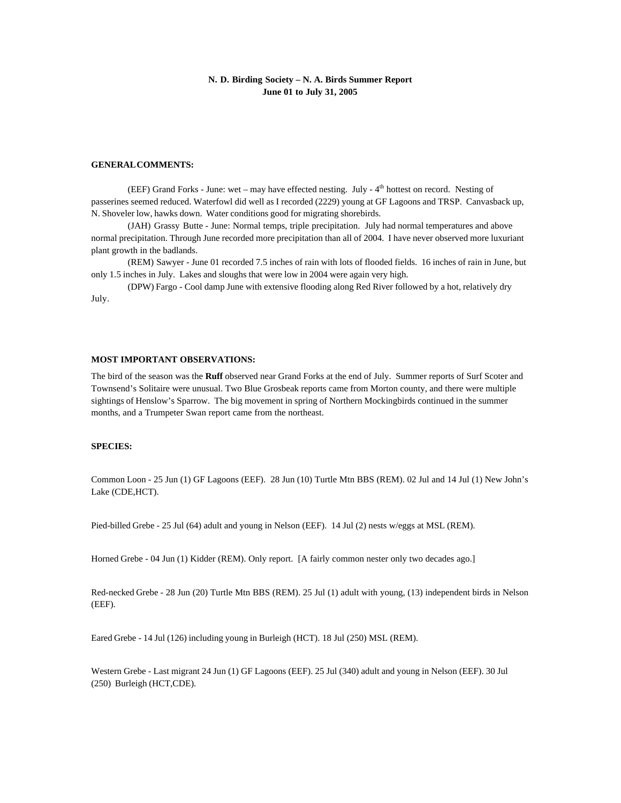## **N. D. Birding Society – N. A. Birds Summer Report June 01 to July 31, 2005**

#### **GENERAL COMMENTS:**

(EEF) Grand Forks - June: wet – may have effected nesting. July -  $4<sup>th</sup>$  hottest on record. Nesting of passerines seemed reduced. Waterfowl did well as I recorded (2229) young at GF Lagoons and TRSP. Canvasback up, N. Shoveler low, hawks down. Water conditions good for migrating shorebirds.

(JAH) Grassy Butte - June: Normal temps, triple precipitation. July had normal temperatures and above normal precipitation. Through June recorded more precipitation than all of 2004. I have never observed more luxuriant plant growth in the badlands.

(REM) Sawyer - June 01 recorded 7.5 inches of rain with lots of flooded fields. 16 inches of rain in June, but only 1.5 inches in July. Lakes and sloughs that were low in 2004 were again very high.

(DPW) Fargo - Cool damp June with extensive flooding along Red River followed by a hot, relatively dry July.

#### **MOST IMPORTANT OBSERVATIONS:**

The bird of the season was the **Ruff** observed near Grand Forks at the end of July. Summer reports of Surf Scoter and Townsend's Solitaire were unusual. Two Blue Grosbeak reports came from Morton county, and there were multiple sightings of Henslow's Sparrow. The big movement in spring of Northern Mockingbirds continued in the summer months, and a Trumpeter Swan report came from the northeast.

### **SPECIES:**

Common Loon - 25 Jun (1) GF Lagoons (EEF). 28 Jun (10) Turtle Mtn BBS (REM). 02 Jul and 14 Jul (1) New John's Lake (CDE,HCT).

Pied-billed Grebe - 25 Jul (64) adult and young in Nelson (EEF). 14 Jul (2) nests w/eggs at MSL (REM).

Horned Grebe - 04 Jun (1) Kidder (REM). Only report. [A fairly common nester only two decades ago.]

Red-necked Grebe - 28 Jun (20) Turtle Mtn BBS (REM). 25 Jul (1) adult with young, (13) independent birds in Nelson (EEF).

Eared Grebe - 14 Jul (126) including young in Burleigh (HCT). 18 Jul (250) MSL (REM).

Western Grebe - Last migrant 24 Jun (1) GF Lagoons (EEF). 25 Jul (340) adult and young in Nelson (EEF). 30 Jul (250) Burleigh (HCT,CDE).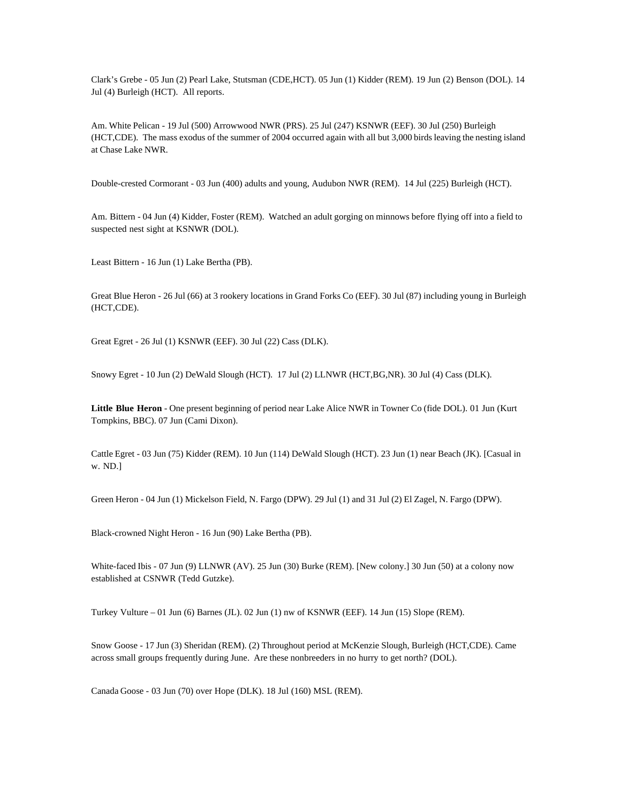Clark's Grebe - 05 Jun (2) Pearl Lake, Stutsman (CDE,HCT). 05 Jun (1) Kidder (REM). 19 Jun (2) Benson (DOL). 14 Jul (4) Burleigh (HCT). All reports.

Am. White Pelican - 19 Jul (500) Arrowwood NWR (PRS). 25 Jul (247) KSNWR (EEF). 30 Jul (250) Burleigh (HCT,CDE). The mass exodus of the summer of 2004 occurred again with all but 3,000 birds leaving the nesting island at Chase Lake NWR.

Double-crested Cormorant - 03 Jun (400) adults and young, Audubon NWR (REM). 14 Jul (225) Burleigh (HCT).

Am. Bittern - 04 Jun (4) Kidder, Foster (REM). Watched an adult gorging on minnows before flying off into a field to suspected nest sight at KSNWR (DOL).

Least Bittern - 16 Jun (1) Lake Bertha (PB).

Great Blue Heron - 26 Jul (66) at 3 rookery locations in Grand Forks Co (EEF). 30 Jul (87) including young in Burleigh (HCT,CDE).

Great Egret - 26 Jul (1) KSNWR (EEF). 30 Jul (22) Cass (DLK).

Snowy Egret - 10 Jun (2) DeWald Slough (HCT). 17 Jul (2) LLNWR (HCT,BG,NR). 30 Jul (4) Cass (DLK).

**Little Blue Heron** - One present beginning of period near Lake Alice NWR in Towner Co (fide DOL). 01 Jun (Kurt Tompkins, BBC). 07 Jun (Cami Dixon).

Cattle Egret - 03 Jun (75) Kidder (REM). 10 Jun (114) DeWald Slough (HCT). 23 Jun (1) near Beach (JK). [Casual in w. ND.]

Green Heron - 04 Jun (1) Mickelson Field, N. Fargo (DPW). 29 Jul (1) and 31 Jul (2) El Zagel, N. Fargo (DPW).

Black-crowned Night Heron - 16 Jun (90) Lake Bertha (PB).

White-faced Ibis - 07 Jun (9) LLNWR (AV). 25 Jun (30) Burke (REM). [New colony.] 30 Jun (50) at a colony now established at CSNWR (Tedd Gutzke).

Turkey Vulture – 01 Jun (6) Barnes (JL). 02 Jun (1) nw of KSNWR (EEF). 14 Jun (15) Slope (REM).

Snow Goose - 17 Jun (3) Sheridan (REM). (2) Throughout period at McKenzie Slough, Burleigh (HCT,CDE). Came across small groups frequently during June. Are these nonbreeders in no hurry to get north? (DOL).

Canada Goose - 03 Jun (70) over Hope (DLK). 18 Jul (160) MSL (REM).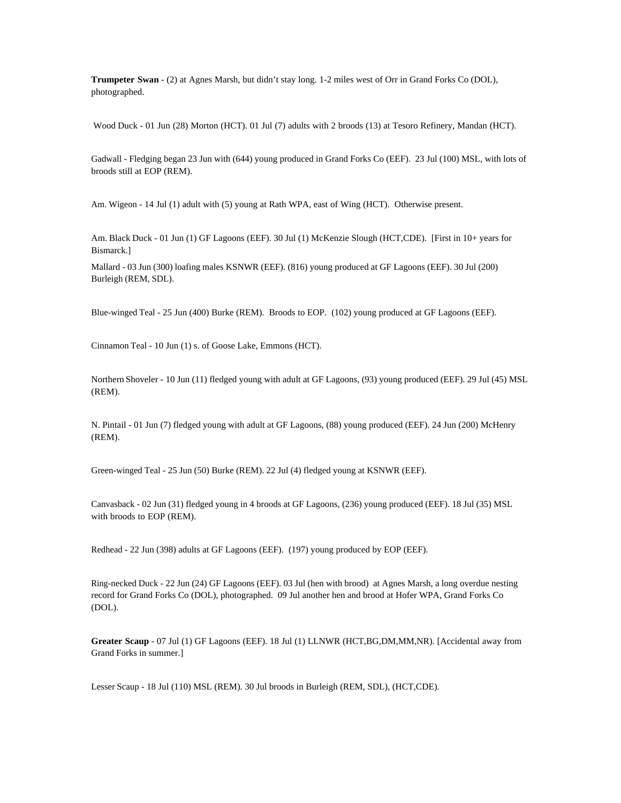**Trumpeter Swan** - (2) at Agnes Marsh, but didn't stay long. 1-2 miles west of Orr in Grand Forks Co (DOL), photographed.

Wood Duck - 01 Jun (28) Morton (HCT). 01 Jul (7) adults with 2 broods (13) at Tesoro Refinery, Mandan (HCT).

Gadwall - Fledging began 23 Jun with (644) young produced in Grand Forks Co (EEF). 23 Jul (100) MSL, with lots of broods still at EOP (REM).

Am. Wigeon - 14 Jul (1) adult with (5) young at Rath WPA, east of Wing (HCT). Otherwise present.

Am. Black Duck - 01 Jun (1) GF Lagoons (EEF). 30 Jul (1) McKenzie Slough (HCT,CDE). [First in 10+ years for Bismarck.]

Mallard - 03 Jun (300) loafing males KSNWR (EEF). (816) young produced at GF Lagoons (EEF). 30 Jul (200) Burleigh (REM, SDL).

Blue-winged Teal - 25 Jun (400) Burke (REM). Broods to EOP. (102) young produced at GF Lagoons (EEF).

Cinnamon Teal - 10 Jun (1) s. of Goose Lake, Emmons (HCT).

Northern Shoveler - 10 Jun (11) fledged young with adult at GF Lagoons, (93) young produced (EEF). 29 Jul (45) MSL (REM).

N. Pintail - 01 Jun (7) fledged young with adult at GF Lagoons, (88) young produced (EEF). 24 Jun (200) McHenry (REM).

Green-winged Teal - 25 Jun (50) Burke (REM). 22 Jul (4) fledged young at KSNWR (EEF).

Canvasback - 02 Jun (31) fledged young in 4 broods at GF Lagoons, (236) young produced (EEF). 18 Jul (35) MSL with broods to EOP (REM).

Redhead - 22 Jun (398) adults at GF Lagoons (EEF). (197) young produced by EOP (EEF).

Ring-necked Duck - 22 Jun (24) GF Lagoons (EEF). 03 Jul (hen with brood) at Agnes Marsh, a long overdue nesting record for Grand Forks Co (DOL), photographed. 09 Jul another hen and brood at Hofer WPA, Grand Forks Co (DOL).

**Greater Scaup** - 07 Jul (1) GF Lagoons (EEF). 18 Jul (1) LLNWR (HCT,BG,DM,MM,NR). [Accidental away from Grand Forks in summer.]

Lesser Scaup - 18 Jul (110) MSL (REM). 30 Jul broods in Burleigh (REM, SDL), (HCT,CDE).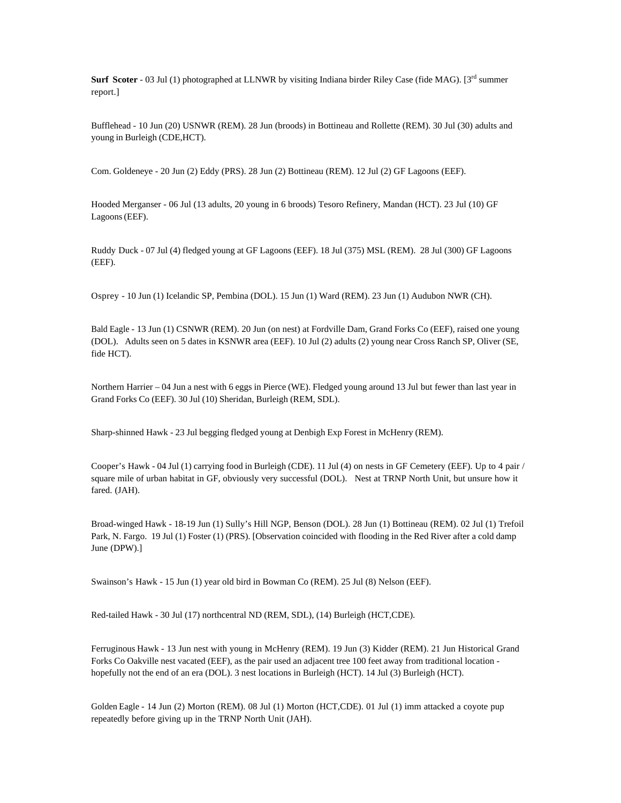**Surf Scoter** - 03 Jul (1) photographed at LLNWR by visiting Indiana birder Riley Case (fide MAG). [3<sup>rd</sup> summer report.]

Bufflehead - 10 Jun (20) USNWR (REM). 28 Jun (broods) in Bottineau and Rollette (REM). 30 Jul (30) adults and young in Burleigh (CDE,HCT).

Com. Goldeneye - 20 Jun (2) Eddy (PRS). 28 Jun (2) Bottineau (REM). 12 Jul (2) GF Lagoons (EEF).

Hooded Merganser - 06 Jul (13 adults, 20 young in 6 broods) Tesoro Refinery, Mandan (HCT). 23 Jul (10) GF Lagoons (EEF).

Ruddy Duck - 07 Jul (4) fledged young at GF Lagoons (EEF). 18 Jul (375) MSL (REM). 28 Jul (300) GF Lagoons (EEF).

Osprey - 10 Jun (1) Icelandic SP, Pembina (DOL). 15 Jun (1) Ward (REM). 23 Jun (1) Audubon NWR (CH).

Bald Eagle - 13 Jun (1) CSNWR (REM). 20 Jun (on nest) at Fordville Dam, Grand Forks Co (EEF), raised one young (DOL). Adults seen on 5 dates in KSNWR area (EEF). 10 Jul (2) adults (2) young near Cross Ranch SP, Oliver (SE, fide HCT).

Northern Harrier – 04 Jun a nest with 6 eggs in Pierce (WE). Fledged young around 13 Jul but fewer than last year in Grand Forks Co (EEF). 30 Jul (10) Sheridan, Burleigh (REM, SDL).

Sharp-shinned Hawk - 23 Jul begging fledged young at Denbigh Exp Forest in McHenry (REM).

Cooper's Hawk - 04 Jul (1) carrying food in Burleigh (CDE). 11 Jul (4) on nests in GF Cemetery (EEF). Up to 4 pair / square mile of urban habitat in GF, obviously very successful (DOL). Nest at TRNP North Unit, but unsure how it fared. (JAH).

Broad-winged Hawk - 18-19 Jun (1) Sully's Hill NGP, Benson (DOL). 28 Jun (1) Bottineau (REM). 02 Jul (1) Trefoil Park, N. Fargo. 19 Jul (1) Foster (1) (PRS). [Observation coincided with flooding in the Red River after a cold damp June (DPW).]

Swainson's Hawk - 15 Jun (1) year old bird in Bowman Co (REM). 25 Jul (8) Nelson (EEF).

Red-tailed Hawk - 30 Jul (17) northcentral ND (REM, SDL), (14) Burleigh (HCT,CDE).

Ferruginous Hawk - 13 Jun nest with young in McHenry (REM). 19 Jun (3) Kidder (REM). 21 Jun Historical Grand Forks Co Oakville nest vacated (EEF), as the pair used an adjacent tree 100 feet away from traditional location hopefully not the end of an era (DOL). 3 nest locations in Burleigh (HCT). 14 Jul (3) Burleigh (HCT).

Golden Eagle - 14 Jun (2) Morton (REM). 08 Jul (1) Morton (HCT,CDE). 01 Jul (1) imm attacked a coyote pup repeatedly before giving up in the TRNP North Unit (JAH).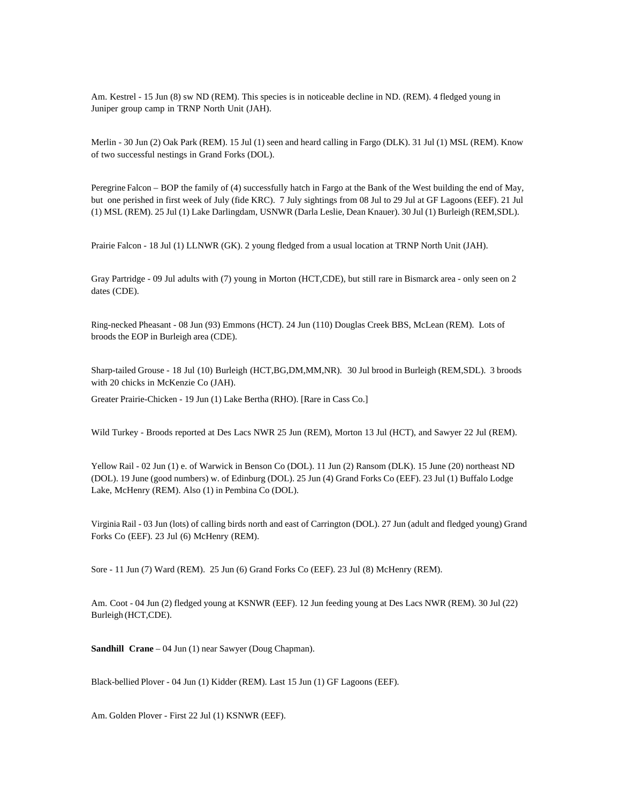Am. Kestrel - 15 Jun (8) sw ND (REM). This species is in noticeable decline in ND. (REM). 4 fledged young in Juniper group camp in TRNP North Unit (JAH).

Merlin - 30 Jun (2) Oak Park (REM). 15 Jul (1) seen and heard calling in Fargo (DLK). 31 Jul (1) MSL (REM). Know of two successful nestings in Grand Forks (DOL).

Peregrine Falcon – BOP the family of (4) successfully hatch in Fargo at the Bank of the West building the end of May, but one perished in first week of July (fide KRC). 7 July sightings from 08 Jul to 29 Jul at GF Lagoons (EEF). 21 Jul (1) MSL (REM). 25 Jul (1) Lake Darlingdam, USNWR (Darla Leslie, Dean Knauer). 30 Jul (1) Burleigh (REM,SDL).

Prairie Falcon - 18 Jul (1) LLNWR (GK). 2 young fledged from a usual location at TRNP North Unit (JAH).

Gray Partridge - 09 Jul adults with (7) young in Morton (HCT,CDE), but still rare in Bismarck area - only seen on 2 dates (CDE).

Ring-necked Pheasant - 08 Jun (93) Emmons (HCT). 24 Jun (110) Douglas Creek BBS, McLean (REM). Lots of broods the EOP in Burleigh area (CDE).

Sharp-tailed Grouse - 18 Jul (10) Burleigh (HCT,BG,DM,MM,NR). 30 Jul brood in Burleigh (REM,SDL). 3 broods with 20 chicks in McKenzie Co (JAH).

Greater Prairie-Chicken - 19 Jun (1) Lake Bertha (RHO). [Rare in Cass Co.]

Wild Turkey - Broods reported at Des Lacs NWR 25 Jun (REM), Morton 13 Jul (HCT), and Sawyer 22 Jul (REM).

Yellow Rail - 02 Jun (1) e. of Warwick in Benson Co (DOL). 11 Jun (2) Ransom (DLK). 15 June (20) northeast ND (DOL). 19 June (good numbers) w. of Edinburg (DOL). 25 Jun (4) Grand Forks Co (EEF). 23 Jul (1) Buffalo Lodge Lake, McHenry (REM). Also (1) in Pembina Co (DOL).

Virginia Rail - 03 Jun (lots) of calling birds north and east of Carrington (DOL). 27 Jun (adult and fledged young) Grand Forks Co (EEF). 23 Jul (6) McHenry (REM).

Sore - 11 Jun (7) Ward (REM). 25 Jun (6) Grand Forks Co (EEF). 23 Jul (8) McHenry (REM).

Am. Coot - 04 Jun (2) fledged young at KSNWR (EEF). 12 Jun feeding young at Des Lacs NWR (REM). 30 Jul (22) Burleigh (HCT,CDE).

**Sandhill Crane** – 04 Jun (1) near Sawyer (Doug Chapman).

Black-bellied Plover - 04 Jun (1) Kidder (REM). Last 15 Jun (1) GF Lagoons (EEF).

Am. Golden Plover - First 22 Jul (1) KSNWR (EEF).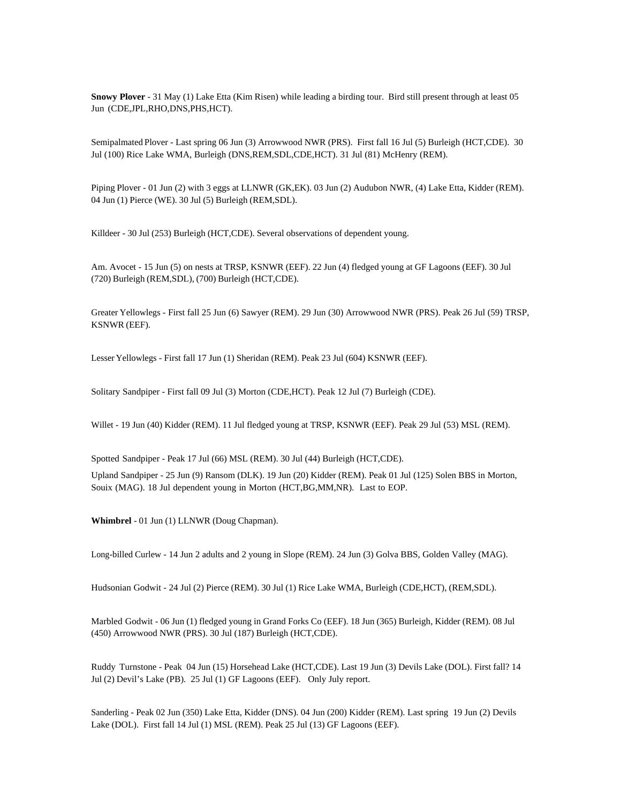**Snowy Plover** - 31 May (1) Lake Etta (Kim Risen) while leading a birding tour. Bird still present through at least 05 Jun (CDE,JPL,RHO,DNS,PHS,HCT).

Semipalmated Plover - Last spring 06 Jun (3) Arrowwood NWR (PRS). First fall 16 Jul (5) Burleigh (HCT,CDE). 30 Jul (100) Rice Lake WMA, Burleigh (DNS,REM,SDL,CDE,HCT). 31 Jul (81) McHenry (REM).

Piping Plover - 01 Jun (2) with 3 eggs at LLNWR (GK,EK). 03 Jun (2) Audubon NWR, (4) Lake Etta, Kidder (REM). 04 Jun (1) Pierce (WE). 30 Jul (5) Burleigh (REM,SDL).

Killdeer - 30 Jul (253) Burleigh (HCT,CDE). Several observations of dependent young.

Am. Avocet - 15 Jun (5) on nests at TRSP, KSNWR (EEF). 22 Jun (4) fledged young at GF Lagoons (EEF). 30 Jul (720) Burleigh (REM,SDL), (700) Burleigh (HCT,CDE).

Greater Yellowlegs - First fall 25 Jun (6) Sawyer (REM). 29 Jun (30) Arrowwood NWR (PRS). Peak 26 Jul (59) TRSP, KSNWR (EEF).

Lesser Yellowlegs - First fall 17 Jun (1) Sheridan (REM). Peak 23 Jul (604) KSNWR (EEF).

Solitary Sandpiper - First fall 09 Jul (3) Morton (CDE,HCT). Peak 12 Jul (7) Burleigh (CDE).

Willet - 19 Jun (40) Kidder (REM). 11 Jul fledged young at TRSP, KSNWR (EEF). Peak 29 Jul (53) MSL (REM).

Spotted Sandpiper - Peak 17 Jul (66) MSL (REM). 30 Jul (44) Burleigh (HCT,CDE).

Upland Sandpiper - 25 Jun (9) Ransom (DLK). 19 Jun (20) Kidder (REM). Peak 01 Jul (125) Solen BBS in Morton, Souix (MAG). 18 Jul dependent young in Morton (HCT,BG,MM,NR). Last to EOP.

**Whimbrel** - 01 Jun (1) LLNWR (Doug Chapman).

Long-billed Curlew - 14 Jun 2 adults and 2 young in Slope (REM). 24 Jun (3) Golva BBS, Golden Valley (MAG).

Hudsonian Godwit - 24 Jul (2) Pierce (REM). 30 Jul (1) Rice Lake WMA, Burleigh (CDE,HCT), (REM,SDL).

Marbled Godwit - 06 Jun (1) fledged young in Grand Forks Co (EEF). 18 Jun (365) Burleigh, Kidder (REM). 08 Jul (450) Arrowwood NWR (PRS). 30 Jul (187) Burleigh (HCT,CDE).

Ruddy Turnstone - Peak 04 Jun (15) Horsehead Lake (HCT,CDE). Last 19 Jun (3) Devils Lake (DOL). First fall? 14 Jul (2) Devil's Lake (PB). 25 Jul (1) GF Lagoons (EEF). Only July report.

Sanderling - Peak 02 Jun (350) Lake Etta, Kidder (DNS). 04 Jun (200) Kidder (REM). Last spring 19 Jun (2) Devils Lake (DOL). First fall 14 Jul (1) MSL (REM). Peak 25 Jul (13) GF Lagoons (EEF).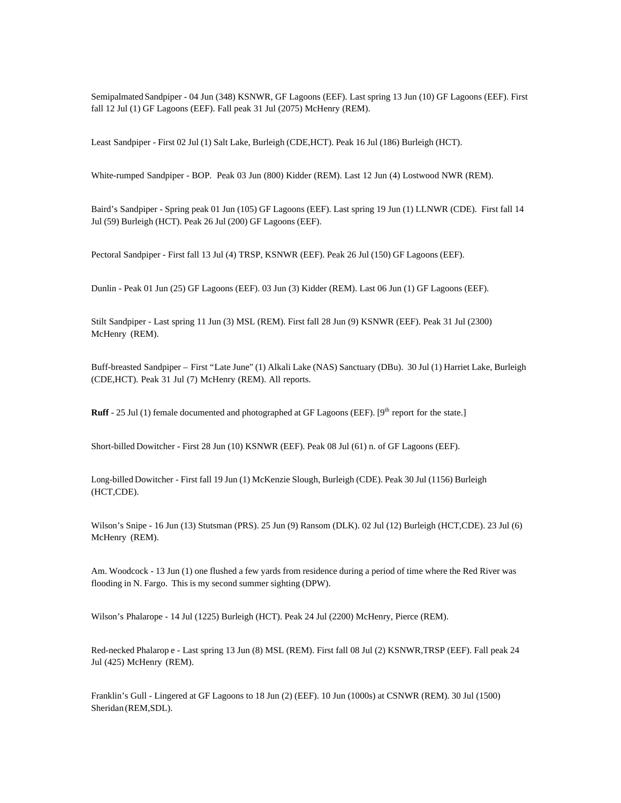Semipalmated Sandpiper - 04 Jun (348) KSNWR, GF Lagoons (EEF). Last spring 13 Jun (10) GF Lagoons (EEF). First fall 12 Jul (1) GF Lagoons (EEF). Fall peak 31 Jul (2075) McHenry (REM).

Least Sandpiper - First 02 Jul (1) Salt Lake, Burleigh (CDE,HCT). Peak 16 Jul (186) Burleigh (HCT).

White-rumped Sandpiper - BOP. Peak 03 Jun (800) Kidder (REM). Last 12 Jun (4) Lostwood NWR (REM).

Baird's Sandpiper - Spring peak 01 Jun (105) GF Lagoons (EEF). Last spring 19 Jun (1) LLNWR (CDE). First fall 14 Jul (59) Burleigh (HCT). Peak 26 Jul (200) GF Lagoons (EEF).

Pectoral Sandpiper - First fall 13 Jul (4) TRSP, KSNWR (EEF). Peak 26 Jul (150) GF Lagoons (EEF).

Dunlin - Peak 01 Jun (25) GF Lagoons (EEF). 03 Jun (3) Kidder (REM). Last 06 Jun (1) GF Lagoons (EEF).

Stilt Sandpiper - Last spring 11 Jun (3) MSL (REM). First fall 28 Jun (9) KSNWR (EEF). Peak 31 Jul (2300) McHenry (REM).

Buff-breasted Sandpiper – First "Late June" (1) Alkali Lake (NAS) Sanctuary (DBu). 30 Jul (1) Harriet Lake, Burleigh (CDE,HCT). Peak 31 Jul (7) McHenry (REM). All reports.

**Ruff** - 25 Jul (1) female documented and photographed at GF Lagoons (EEF). [9<sup>th</sup> report for the state.]

Short-billed Dowitcher - First 28 Jun (10) KSNWR (EEF). Peak 08 Jul (61) n. of GF Lagoons (EEF).

Long-billed Dowitcher - First fall 19 Jun (1) McKenzie Slough, Burleigh (CDE). Peak 30 Jul (1156) Burleigh (HCT,CDE).

Wilson's Snipe - 16 Jun (13) Stutsman (PRS). 25 Jun (9) Ransom (DLK). 02 Jul (12) Burleigh (HCT,CDE). 23 Jul (6) McHenry (REM).

Am. Woodcock - 13 Jun (1) one flushed a few yards from residence during a period of time where the Red River was flooding in N. Fargo. This is my second summer sighting (DPW).

Wilson's Phalarope - 14 Jul (1225) Burleigh (HCT). Peak 24 Jul (2200) McHenry, Pierce (REM).

Red-necked Phalarop e - Last spring 13 Jun (8) MSL (REM). First fall 08 Jul (2) KSNWR,TRSP (EEF). Fall peak 24 Jul (425) McHenry (REM).

Franklin's Gull - Lingered at GF Lagoons to 18 Jun (2) (EEF). 10 Jun (1000s) at CSNWR (REM). 30 Jul (1500) Sheridan (REM,SDL).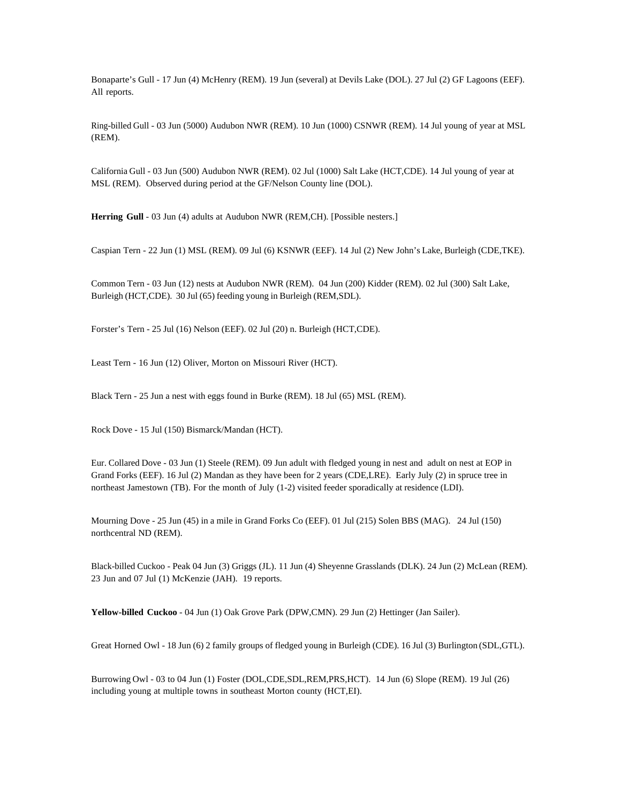Bonaparte's Gull - 17 Jun (4) McHenry (REM). 19 Jun (several) at Devils Lake (DOL). 27 Jul (2) GF Lagoons (EEF). All reports.

Ring-billed Gull - 03 Jun (5000) Audubon NWR (REM). 10 Jun (1000) CSNWR (REM). 14 Jul young of year at MSL (REM).

California Gull - 03 Jun (500) Audubon NWR (REM). 02 Jul (1000) Salt Lake (HCT,CDE). 14 Jul young of year at MSL (REM). Observed during period at the GF/Nelson County line (DOL).

**Herring Gull** - 03 Jun (4) adults at Audubon NWR (REM,CH). [Possible nesters.]

Caspian Tern - 22 Jun (1) MSL (REM). 09 Jul (6) KSNWR (EEF). 14 Jul (2) New John's Lake, Burleigh (CDE,TKE).

Common Tern - 03 Jun (12) nests at Audubon NWR (REM). 04 Jun (200) Kidder (REM). 02 Jul (300) Salt Lake, Burleigh (HCT,CDE). 30 Jul (65) feeding young in Burleigh (REM,SDL).

Forster's Tern - 25 Jul (16) Nelson (EEF). 02 Jul (20) n. Burleigh (HCT,CDE).

Least Tern - 16 Jun (12) Oliver, Morton on Missouri River (HCT).

Black Tern - 25 Jun a nest with eggs found in Burke (REM). 18 Jul (65) MSL (REM).

Rock Dove - 15 Jul (150) Bismarck/Mandan (HCT).

Eur. Collared Dove - 03 Jun (1) Steele (REM). 09 Jun adult with fledged young in nest and adult on nest at EOP in Grand Forks (EEF). 16 Jul (2) Mandan as they have been for 2 years (CDE,LRE). Early July (2) in spruce tree in northeast Jamestown (TB). For the month of July (1-2) visited feeder sporadically at residence (LDI).

Mourning Dove - 25 Jun (45) in a mile in Grand Forks Co (EEF). 01 Jul (215) Solen BBS (MAG). 24 Jul (150) northcentral ND (REM).

Black-billed Cuckoo - Peak 04 Jun (3) Griggs (JL). 11 Jun (4) Sheyenne Grasslands (DLK). 24 Jun (2) McLean (REM). 23 Jun and 07 Jul (1) McKenzie (JAH). 19 reports.

**Yellow-billed Cuckoo** - 04 Jun (1) Oak Grove Park (DPW,CMN). 29 Jun (2) Hettinger (Jan Sailer).

Great Horned Owl - 18 Jun (6) 2 family groups of fledged young in Burleigh (CDE). 16 Jul (3) Burlington (SDL,GTL).

Burrowing Owl - 03 to 04 Jun (1) Foster (DOL,CDE,SDL,REM,PRS,HCT). 14 Jun (6) Slope (REM). 19 Jul (26) including young at multiple towns in southeast Morton county (HCT,EI).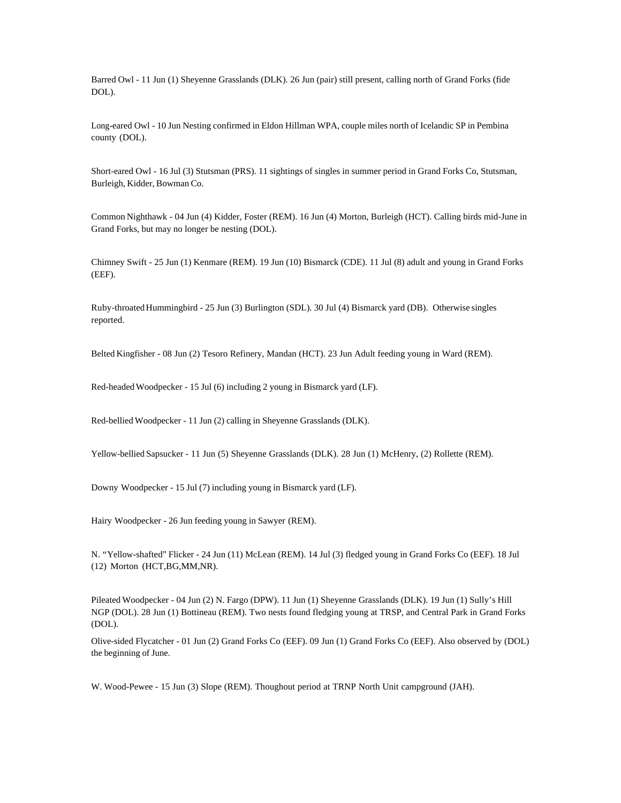Barred Owl - 11 Jun (1) Sheyenne Grasslands (DLK). 26 Jun (pair) still present, calling north of Grand Forks (fide DOL).

Long-eared Owl - 10 Jun Nesting confirmed in Eldon Hillman WPA, couple miles north of Icelandic SP in Pembina county (DOL).

Short-eared Owl - 16 Jul (3) Stutsman (PRS). 11 sightings of singles in summer period in Grand Forks Co, Stutsman, Burleigh, Kidder, Bowman Co.

Common Nighthawk - 04 Jun (4) Kidder, Foster (REM). 16 Jun (4) Morton, Burleigh (HCT). Calling birds mid-June in Grand Forks, but may no longer be nesting (DOL).

Chimney Swift - 25 Jun (1) Kenmare (REM). 19 Jun (10) Bismarck (CDE). 11 Jul (8) adult and young in Grand Forks (EEF).

Ruby-throated Hummingbird - 25 Jun (3) Burlington (SDL). 30 Jul (4) Bismarck yard (DB). Otherwise singles reported.

Belted Kingfisher - 08 Jun (2) Tesoro Refinery, Mandan (HCT). 23 Jun Adult feeding young in Ward (REM).

Red-headed Woodpecker - 15 Jul (6) including 2 young in Bismarck yard (LF).

Red-bellied Woodpecker - 11 Jun (2) calling in Sheyenne Grasslands (DLK).

Yellow-bellied Sapsucker - 11 Jun (5) Sheyenne Grasslands (DLK). 28 Jun (1) McHenry, (2) Rollette (REM).

Downy Woodpecker - 15 Jul (7) including young in Bismarck yard (LF).

Hairy Woodpecker - 26 Jun feeding young in Sawyer (REM).

N. "Yellow-shafted" Flicker - 24 Jun (11) McLean (REM). 14 Jul (3) fledged young in Grand Forks Co (EEF). 18 Jul (12) Morton (HCT,BG,MM,NR).

Pileated Woodpecker - 04 Jun (2) N. Fargo (DPW). 11 Jun (1) Sheyenne Grasslands (DLK). 19 Jun (1) Sully's Hill NGP (DOL). 28 Jun (1) Bottineau (REM). Two nests found fledging young at TRSP, and Central Park in Grand Forks (DOL).

Olive-sided Flycatcher - 01 Jun (2) Grand Forks Co (EEF). 09 Jun (1) Grand Forks Co (EEF). Also observed by (DOL) the beginning of June.

W. Wood-Pewee - 15 Jun (3) Slope (REM). Thoughout period at TRNP North Unit campground (JAH).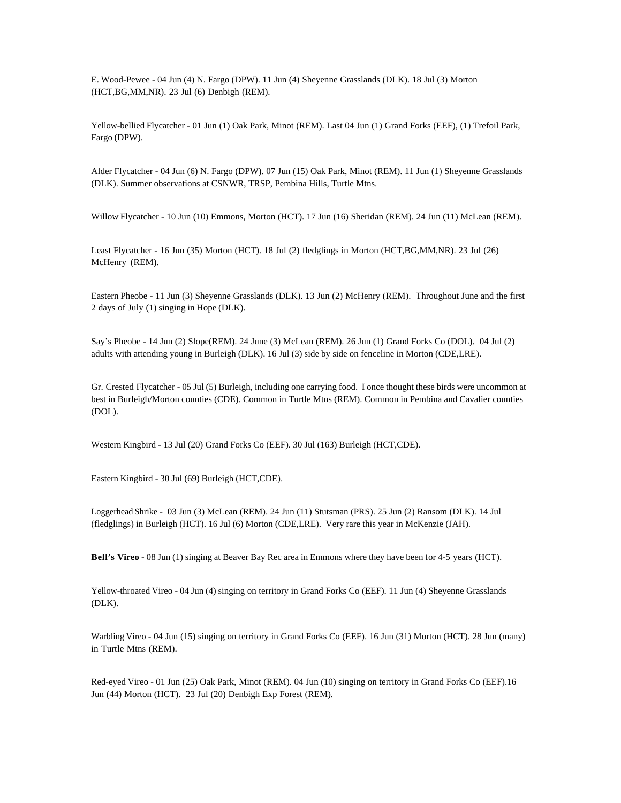E. Wood-Pewee - 04 Jun (4) N. Fargo (DPW). 11 Jun (4) Sheyenne Grasslands (DLK). 18 Jul (3) Morton (HCT,BG,MM,NR). 23 Jul (6) Denbigh (REM).

Yellow-bellied Flycatcher - 01 Jun (1) Oak Park, Minot (REM). Last 04 Jun (1) Grand Forks (EEF), (1) Trefoil Park, Fargo (DPW).

Alder Flycatcher - 04 Jun (6) N. Fargo (DPW). 07 Jun (15) Oak Park, Minot (REM). 11 Jun (1) Sheyenne Grasslands (DLK). Summer observations at CSNWR, TRSP, Pembina Hills, Turtle Mtns.

Willow Flycatcher - 10 Jun (10) Emmons, Morton (HCT). 17 Jun (16) Sheridan (REM). 24 Jun (11) McLean (REM).

Least Flycatcher - 16 Jun (35) Morton (HCT). 18 Jul (2) fledglings in Morton (HCT,BG,MM,NR). 23 Jul (26) McHenry (REM).

Eastern Pheobe - 11 Jun (3) Sheyenne Grasslands (DLK). 13 Jun (2) McHenry (REM). Throughout June and the first 2 days of July (1) singing in Hope (DLK).

Say's Pheobe - 14 Jun (2) Slope(REM). 24 June (3) McLean (REM). 26 Jun (1) Grand Forks Co (DOL). 04 Jul (2) adults with attending young in Burleigh (DLK). 16 Jul (3) side by side on fenceline in Morton (CDE,LRE).

Gr. Crested Flycatcher - 05 Jul (5) Burleigh, including one carrying food. I once thought these birds were uncommon at best in Burleigh/Morton counties (CDE). Common in Turtle Mtns (REM). Common in Pembina and Cavalier counties (DOL).

Western Kingbird - 13 Jul (20) Grand Forks Co (EEF). 30 Jul (163) Burleigh (HCT,CDE).

Eastern Kingbird - 30 Jul (69) Burleigh (HCT,CDE).

Loggerhead Shrike - 03 Jun (3) McLean (REM). 24 Jun (11) Stutsman (PRS). 25 Jun (2) Ransom (DLK). 14 Jul (fledglings) in Burleigh (HCT). 16 Jul (6) Morton (CDE,LRE). Very rare this year in McKenzie (JAH).

**Bell's Vireo** - 08 Jun (1) singing at Beaver Bay Rec area in Emmons where they have been for 4-5 years (HCT).

Yellow-throated Vireo - 04 Jun (4) singing on territory in Grand Forks Co (EEF). 11 Jun (4) Sheyenne Grasslands (DLK).

Warbling Vireo - 04 Jun (15) singing on territory in Grand Forks Co (EEF). 16 Jun (31) Morton (HCT). 28 Jun (many) in Turtle Mtns (REM).

Red-eyed Vireo - 01 Jun (25) Oak Park, Minot (REM). 04 Jun (10) singing on territory in Grand Forks Co (EEF).16 Jun (44) Morton (HCT). 23 Jul (20) Denbigh Exp Forest (REM).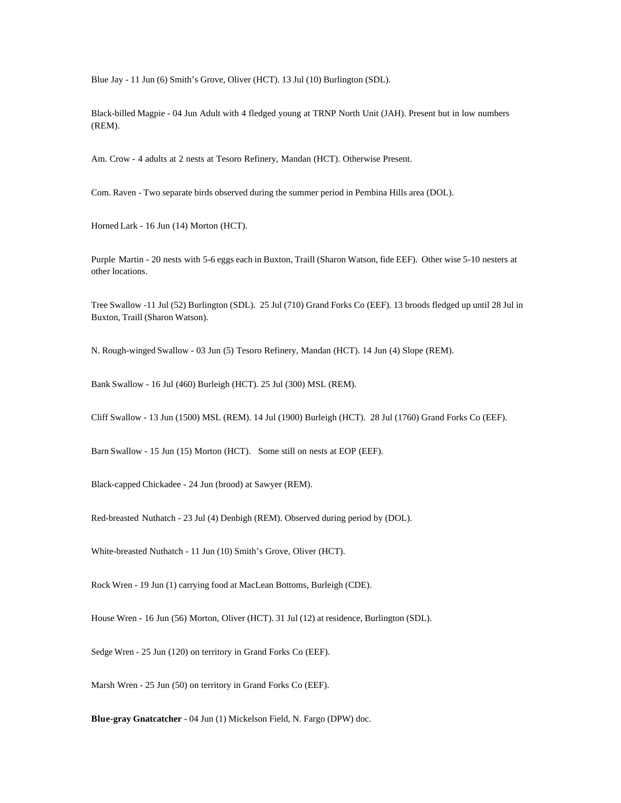Blue Jay - 11 Jun (6) Smith's Grove, Oliver (HCT). 13 Jul (10) Burlington (SDL).

Black-billed Magpie - 04 Jun Adult with 4 fledged young at TRNP North Unit (JAH). Present but in low numbers (REM).

Am. Crow - 4 adults at 2 nests at Tesoro Refinery, Mandan (HCT). Otherwise Present.

Com. Raven - Two separate birds observed during the summer period in Pembina Hills area (DOL).

Horned Lark - 16 Jun (14) Morton (HCT).

Purple Martin - 20 nests with 5-6 eggs each in Buxton, Traill (Sharon Watson, fide EEF). Other wise 5-10 nesters at other locations.

Tree Swallow -11 Jul (52) Burlington (SDL). 25 Jul (710) Grand Forks Co (EEF). 13 broods fledged up until 28 Jul in Buxton, Traill (Sharon Watson).

N. Rough-winged Swallow - 03 Jun (5) Tesoro Refinery, Mandan (HCT). 14 Jun (4) Slope (REM).

Bank Swallow - 16 Jul (460) Burleigh (HCT). 25 Jul (300) MSL (REM).

Cliff Swallow - 13 Jun (1500) MSL (REM). 14 Jul (1900) Burleigh (HCT). 28 Jul (1760) Grand Forks Co (EEF).

Barn Swallow - 15 Jun (15) Morton (HCT). Some still on nests at EOP (EEF).

Black-capped Chickadee - 24 Jun (brood) at Sawyer (REM).

Red-breasted Nuthatch - 23 Jul (4) Denbigh (REM). Observed during period by (DOL).

White-breasted Nuthatch - 11 Jun (10) Smith's Grove, Oliver (HCT).

Rock Wren - 19 Jun (1) carrying food at MacLean Bottoms, Burleigh (CDE).

House Wren - 16 Jun (56) Morton, Oliver (HCT). 31 Jul (12) at residence, Burlington (SDL).

Sedge Wren - 25 Jun (120) on territory in Grand Forks Co (EEF).

Marsh Wren - 25 Jun (50) on territory in Grand Forks Co (EEF).

**Blue-gray Gnatcatcher** - 04 Jun (1) Mickelson Field, N. Fargo (DPW) doc.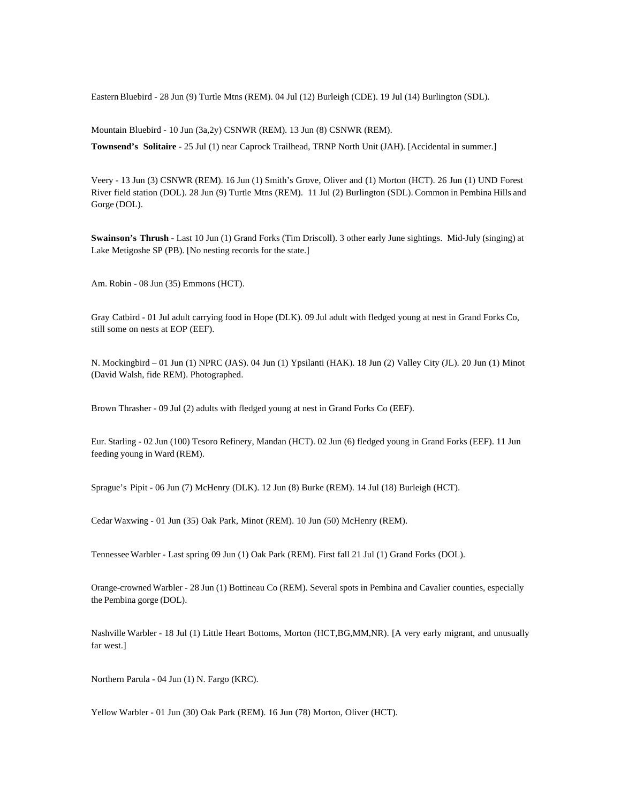Eastern Bluebird - 28 Jun (9) Turtle Mtns (REM). 04 Jul (12) Burleigh (CDE). 19 Jul (14) Burlington (SDL).

Mountain Bluebird - 10 Jun (3a,2y) CSNWR (REM). 13 Jun (8) CSNWR (REM).

**Townsend's Solitaire** - 25 Jul (1) near Caprock Trailhead, TRNP North Unit (JAH). [Accidental in summer.]

Veery - 13 Jun (3) CSNWR (REM). 16 Jun (1) Smith's Grove, Oliver and (1) Morton (HCT). 26 Jun (1) UND Forest River field station (DOL). 28 Jun (9) Turtle Mtns (REM). 11 Jul (2) Burlington (SDL). Common in Pembina Hills and Gorge (DOL).

**Swainson's Thrush** - Last 10 Jun (1) Grand Forks (Tim Driscoll). 3 other early June sightings. Mid-July (singing) at Lake Metigoshe SP (PB). [No nesting records for the state.]

Am. Robin - 08 Jun (35) Emmons (HCT).

Gray Catbird - 01 Jul adult carrying food in Hope (DLK). 09 Jul adult with fledged young at nest in Grand Forks Co, still some on nests at EOP (EEF).

N. Mockingbird – 01 Jun (1) NPRC (JAS). 04 Jun (1) Ypsilanti (HAK). 18 Jun (2) Valley City (JL). 20 Jun (1) Minot (David Walsh, fide REM). Photographed.

Brown Thrasher - 09 Jul (2) adults with fledged young at nest in Grand Forks Co (EEF).

Eur. Starling - 02 Jun (100) Tesoro Refinery, Mandan (HCT). 02 Jun (6) fledged young in Grand Forks (EEF). 11 Jun feeding young in Ward (REM).

Sprague's Pipit - 06 Jun (7) McHenry (DLK). 12 Jun (8) Burke (REM). 14 Jul (18) Burleigh (HCT).

Cedar Waxwing - 01 Jun (35) Oak Park, Minot (REM). 10 Jun (50) McHenry (REM).

Tennessee Warbler - Last spring 09 Jun (1) Oak Park (REM). First fall 21 Jul (1) Grand Forks (DOL).

Orange-crowned Warbler - 28 Jun (1) Bottineau Co (REM). Several spots in Pembina and Cavalier counties, especially the Pembina gorge (DOL).

Nashville Warbler - 18 Jul (1) Little Heart Bottoms, Morton (HCT,BG,MM,NR). [A very early migrant, and unusually far west.]

Northern Parula - 04 Jun (1) N. Fargo (KRC).

Yellow Warbler - 01 Jun (30) Oak Park (REM). 16 Jun (78) Morton, Oliver (HCT).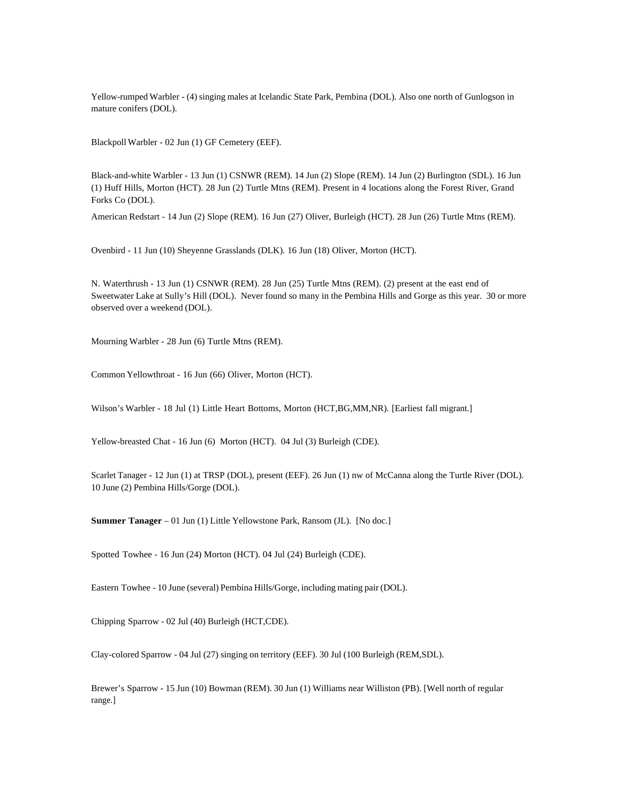Yellow-rumped Warbler - (4) singing males at Icelandic State Park, Pembina (DOL). Also one north of Gunlogson in mature conifers (DOL).

Blackpoll Warbler - 02 Jun (1) GF Cemetery (EEF).

Black-and-white Warbler - 13 Jun (1) CSNWR (REM). 14 Jun (2) Slope (REM). 14 Jun (2) Burlington (SDL). 16 Jun (1) Huff Hills, Morton (HCT). 28 Jun (2) Turtle Mtns (REM). Present in 4 locations along the Forest River, Grand Forks Co (DOL).

American Redstart - 14 Jun (2) Slope (REM). 16 Jun (27) Oliver, Burleigh (HCT). 28 Jun (26) Turtle Mtns (REM).

Ovenbird - 11 Jun (10) Sheyenne Grasslands (DLK). 16 Jun (18) Oliver, Morton (HCT).

N. Waterthrush - 13 Jun (1) CSNWR (REM). 28 Jun (25) Turtle Mtns (REM). (2) present at the east end of Sweetwater Lake at Sully's Hill (DOL). Never found so many in the Pembina Hills and Gorge as this year. 30 or more observed over a weekend (DOL).

Mourning Warbler - 28 Jun (6) Turtle Mtns (REM).

Common Yellowthroat - 16 Jun (66) Oliver, Morton (HCT).

Wilson's Warbler - 18 Jul (1) Little Heart Bottoms, Morton (HCT, BG, MM, NR). [Earliest fall migrant.]

Yellow-breasted Chat - 16 Jun (6) Morton (HCT). 04 Jul (3) Burleigh (CDE).

Scarlet Tanager - 12 Jun (1) at TRSP (DOL), present (EEF). 26 Jun (1) nw of McCanna along the Turtle River (DOL). 10 June (2) Pembina Hills/Gorge (DOL).

**Summer Tanager** – 01 Jun (1) Little Yellowstone Park, Ransom (JL). [No doc.]

Spotted Towhee - 16 Jun (24) Morton (HCT). 04 Jul (24) Burleigh (CDE).

Eastern Towhee - 10 June (several) Pembina Hills/Gorge, including mating pair (DOL).

Chipping Sparrow - 02 Jul (40) Burleigh (HCT,CDE).

Clay-colored Sparrow - 04 Jul (27) singing on territory (EEF). 30 Jul (100 Burleigh (REM,SDL).

Brewer's Sparrow - 15 Jun (10) Bowman (REM). 30 Jun (1) Williams near Williston (PB). [Well north of regular range.]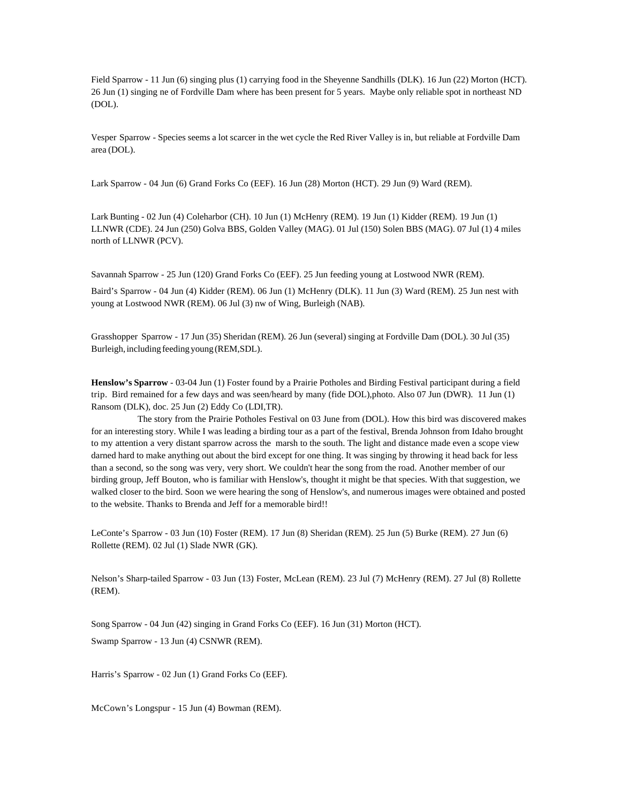Field Sparrow - 11 Jun (6) singing plus (1) carrying food in the Sheyenne Sandhills (DLK). 16 Jun (22) Morton (HCT). 26 Jun (1) singing ne of Fordville Dam where has been present for 5 years. Maybe only reliable spot in northeast ND (DOL).

Vesper Sparrow - Species seems a lot scarcer in the wet cycle the Red River Valley is in, but reliable at Fordville Dam area (DOL).

Lark Sparrow - 04 Jun (6) Grand Forks Co (EEF). 16 Jun (28) Morton (HCT). 29 Jun (9) Ward (REM).

Lark Bunting - 02 Jun (4) Coleharbor (CH). 10 Jun (1) McHenry (REM). 19 Jun (1) Kidder (REM). 19 Jun (1) LLNWR (CDE). 24 Jun (250) Golva BBS, Golden Valley (MAG). 01 Jul (150) Solen BBS (MAG). 07 Jul (1) 4 miles north of LLNWR (PCV).

Savannah Sparrow - 25 Jun (120) Grand Forks Co (EEF). 25 Jun feeding young at Lostwood NWR (REM).

Baird's Sparrow - 04 Jun (4) Kidder (REM). 06 Jun (1) McHenry (DLK). 11 Jun (3) Ward (REM). 25 Jun nest with young at Lostwood NWR (REM). 06 Jul (3) nw of Wing, Burleigh (NAB).

Grasshopper Sparrow - 17 Jun (35) Sheridan (REM). 26 Jun (several) singing at Fordville Dam (DOL). 30 Jul (35) Burleigh, including feeding young (REM,SDL).

**Henslow's Sparrow** - 03-04 Jun (1) Foster found by a Prairie Potholes and Birding Festival participant during a field trip. Bird remained for a few days and was seen/heard by many (fide DOL),photo. Also 07 Jun (DWR). 11 Jun (1) Ransom (DLK), doc. 25 Jun (2) Eddy Co (LDI,TR).

The story from the Prairie Potholes Festival on 03 June from (DOL). How this bird was discovered makes for an interesting story. While I was leading a birding tour as a part of the festival, Brenda Johnson from Idaho brought to my attention a very distant sparrow across the marsh to the south. The light and distance made even a scope view darned hard to make anything out about the bird except for one thing. It was singing by throwing it head back for less than a second, so the song was very, very short. We couldn't hear the song from the road. Another member of our birding group, Jeff Bouton, who is familiar with Henslow's, thought it might be that species. With that suggestion, we walked closer to the bird. Soon we were hearing the song of Henslow's, and numerous images were obtained and posted to the website. Thanks to Brenda and Jeff for a memorable bird!!

LeConte's Sparrow - 03 Jun (10) Foster (REM). 17 Jun (8) Sheridan (REM). 25 Jun (5) Burke (REM). 27 Jun (6) Rollette (REM). 02 Jul (1) Slade NWR (GK).

Nelson's Sharp-tailed Sparrow - 03 Jun (13) Foster, McLean (REM). 23 Jul (7) McHenry (REM). 27 Jul (8) Rollette (REM).

Song Sparrow - 04 Jun (42) singing in Grand Forks Co (EEF). 16 Jun (31) Morton (HCT). Swamp Sparrow - 13 Jun (4) CSNWR (REM).

Harris's Sparrow - 02 Jun (1) Grand Forks Co (EEF).

McCown's Longspur - 15 Jun (4) Bowman (REM).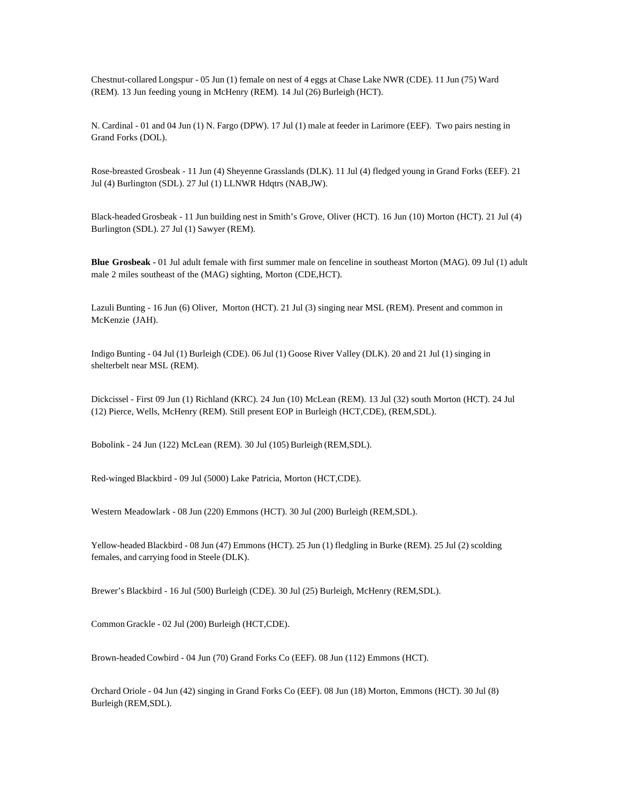Chestnut-collared Longspur - 05 Jun (1) female on nest of 4 eggs at Chase Lake NWR (CDE). 11 Jun (75) Ward (REM). 13 Jun feeding young in McHenry (REM). 14 Jul (26) Burleigh (HCT).

N. Cardinal - 01 and 04 Jun (1) N. Fargo (DPW). 17 Jul (1) male at feeder in Larimore (EEF). Two pairs nesting in Grand Forks (DOL).

Rose-breasted Grosbeak - 11 Jun (4) Sheyenne Grasslands (DLK). 11 Jul (4) fledged young in Grand Forks (EEF). 21 Jul (4) Burlington (SDL). 27 Jul (1) LLNWR Hdqtrs (NAB,JW).

Black-headed Grosbeak - 11 Jun building nest in Smith's Grove, Oliver (HCT). 16 Jun (10) Morton (HCT). 21 Jul (4) Burlington (SDL). 27 Jul (1) Sawyer (REM).

**Blue Grosbeak -** 01 Jul adult female with first summer male on fenceline in southeast Morton (MAG). 09 Jul (1) adult male 2 miles southeast of the (MAG) sighting, Morton (CDE,HCT).

Lazuli Bunting - 16 Jun (6) Oliver, Morton (HCT). 21 Jul (3) singing near MSL (REM). Present and common in McKenzie (JAH).

Indigo Bunting - 04 Jul (1) Burleigh (CDE). 06 Jul (1) Goose River Valley (DLK). 20 and 21 Jul (1) singing in shelterbelt near MSL (REM).

Dickcissel - First 09 Jun (1) Richland (KRC). 24 Jun (10) McLean (REM). 13 Jul (32) south Morton (HCT). 24 Jul (12) Pierce, Wells, McHenry (REM). Still present EOP in Burleigh (HCT,CDE), (REM,SDL).

Bobolink - 24 Jun (122) McLean (REM). 30 Jul (105) Burleigh (REM,SDL).

Red-winged Blackbird - 09 Jul (5000) Lake Patricia, Morton (HCT,CDE).

Western Meadowlark - 08 Jun (220) Emmons (HCT). 30 Jul (200) Burleigh (REM,SDL).

Yellow-headed Blackbird - 08 Jun (47) Emmons (HCT). 25 Jun (1) fledgling in Burke (REM). 25 Jul (2) scolding females, and carrying food in Steele (DLK).

Brewer's Blackbird - 16 Jul (500) Burleigh (CDE). 30 Jul (25) Burleigh, McHenry (REM,SDL).

Common Grackle - 02 Jul (200) Burleigh (HCT,CDE).

Brown-headed Cowbird - 04 Jun (70) Grand Forks Co (EEF). 08 Jun (112) Emmons (HCT).

Orchard Oriole - 04 Jun (42) singing in Grand Forks Co (EEF). 08 Jun (18) Morton, Emmons (HCT). 30 Jul (8) Burleigh (REM,SDL).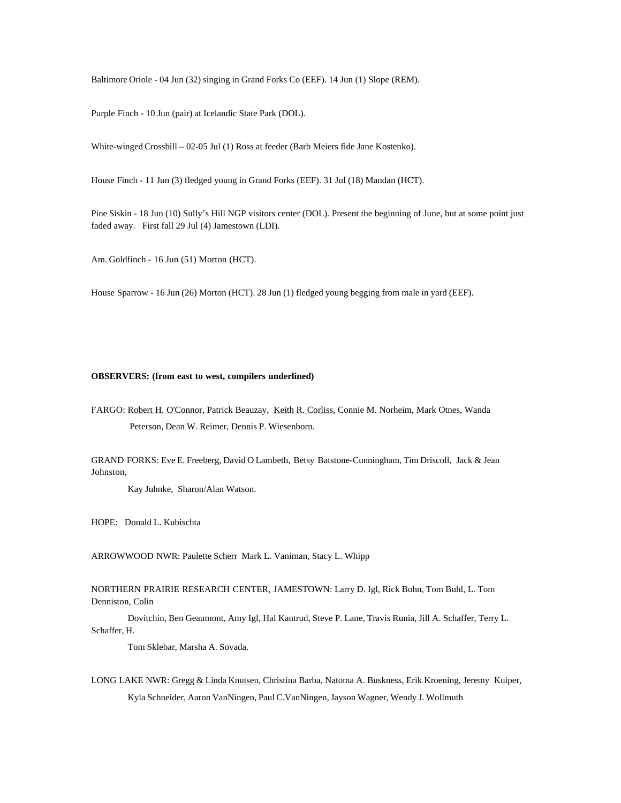Baltimore Oriole - 04 Jun (32) singing in Grand Forks Co (EEF). 14 Jun (1) Slope (REM).

Purple Finch - 10 Jun (pair) at Icelandic State Park (DOL).

White-winged Crossbill – 02-05 Jul (1) Ross at feeder (Barb Meiers fide Jane Kostenko).

House Finch - 11 Jun (3) fledged young in Grand Forks (EEF). 31 Jul (18) Mandan (HCT).

Pine Siskin - 18 Jun (10) Sully's Hill NGP visitors center (DOL). Present the beginning of June, but at some point just faded away. First fall 29 Jul (4) Jamestown (LDI).

Am. Goldfinch - 16 Jun (51) Morton (HCT).

House Sparrow - 16 Jun (26) Morton (HCT). 28 Jun (1) fledged young begging from male in yard (EEF).

#### **OBSERVERS: (from east to west, compilers underlined)**

FARGO: Robert H. O'Connor, Patrick Beauzay, Keith R. Corliss, Connie M. Norheim, Mark Otnes, Wanda Peterson, Dean W. Reimer, Dennis P. Wiesenborn.

GRAND FORKS: Eve E. Freeberg, David O Lambeth, Betsy Batstone-Cunningham, Tim Driscoll, Jack & Jean Johnston,

Kay Juhnke, Sharon/Alan Watson.

HOPE: Donald L. Kubischta

ARROWWOOD NWR: Paulette Scherr Mark L. Vaniman, Stacy L. Whipp

NORTHERN PRAIRIE RESEARCH CENTER, JAMESTOWN: Larry D. Igl, Rick Bohn, Tom Buhl, L. Tom Denniston, Colin

Dovitchin, Ben Geaumont, Amy Igl, Hal Kantrud, Steve P. Lane, Travis Runia, Jill A. Schaffer, Terry L. Schaffer, H.

Tom Sklebar, Marsha A. Sovada.

LONG LAKE NWR: Gregg & Linda Knutsen, Christina Barba, Natoma A. Buskness, Erik Kroening, Jeremy Kuiper, Kyla Schneider, Aaron VanNingen, Paul C.VanNingen, Jayson Wagner, Wendy J. Wollmuth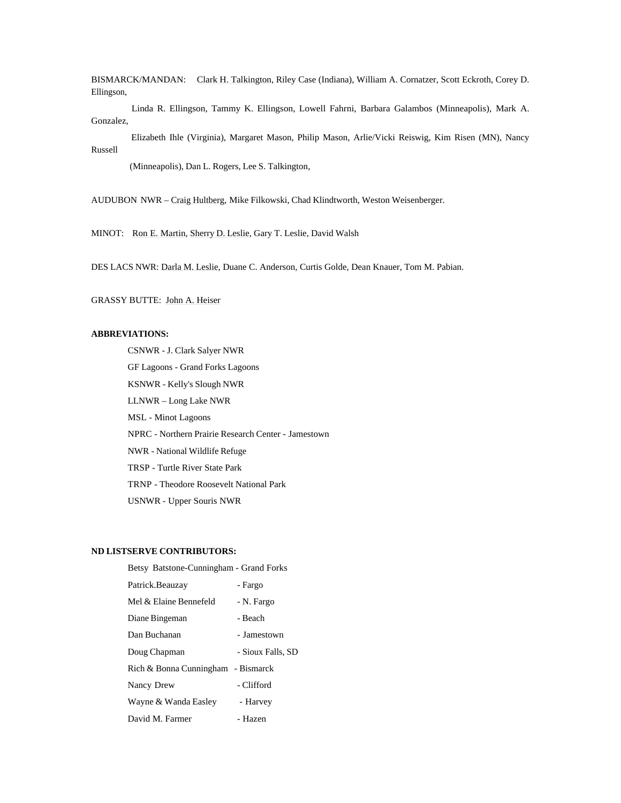BISMARCK/MANDAN: Clark H. Talkington, Riley Case (Indiana), William A. Cornatzer, Scott Eckroth, Corey D. Ellingson,

 Linda R. Ellingson, Tammy K. Ellingson, Lowell Fahrni, Barbara Galambos (Minneapolis), Mark A. Gonzalez,

 Elizabeth Ihle (Virginia), Margaret Mason, Philip Mason, Arlie/Vicki Reiswig, Kim Risen (MN), Nancy Russell

(Minneapolis), Dan L. Rogers, Lee S. Talkington,

AUDUBON NWR – Craig Hultberg, Mike Filkowski, Chad Klindtworth, Weston Weisenberger.

MINOT: Ron E. Martin, Sherry D. Leslie, Gary T. Leslie, David Walsh

DES LACS NWR: Darla M. Leslie, Duane C. Anderson, Curtis Golde, Dean Knauer, Tom M. Pabian.

GRASSY BUTTE: John A. Heiser

# **ABBREVIATIONS:**

CSNWR - J. Clark Salyer NWR

GF Lagoons - Grand Forks Lagoons

KSNWR - Kelly's Slough NWR

LLNWR – Long Lake NWR

MSL - Minot Lagoons

NPRC - Northern Prairie Research Center - Jamestown

NWR - National Wildlife Refuge

TRSP - Turtle River State Park

TRNP - Theodore Roosevelt National Park

USNWR - Upper Souris NWR

## **ND LISTSERVE CONTRIBUTORS:**

Betsy Batstone-Cunningham - Grand Forks Patrick.Beauzay - Fargo Mel & Elaine Bennefeld - N. Fargo Diane Bingeman - Beach Dan Buchanan - Jamestown Doug Chapman - Sioux Falls, SD Rich & Bonna Cunningham - Bismarck Nancy Drew - Clifford Wayne & Wanda Easley - Harvey David M. Farmer - Hazen